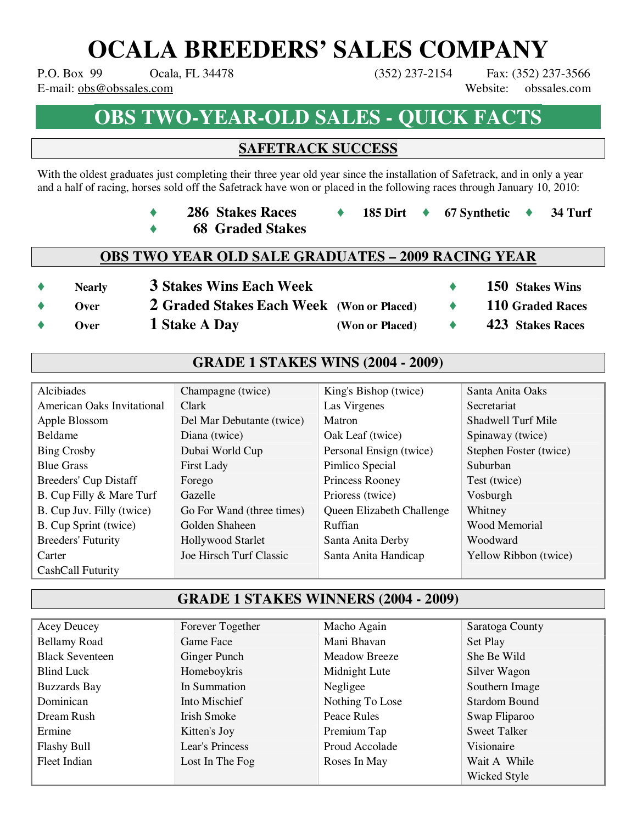# **OCALA BREEDERS' SALES COMPANY**

P.O. Box 99 Ocala, FL 34478 (352) 237-2154 Fax: (352) 237-3566 E-mail: obs@obssales.com Website: obssales.com

# **OBS TWO-YEAR-OLD SALES - QUICK FACTS**

## **SAFETRACK SUCCESS**

With the oldest graduates just completing their three year old year since the installation of Safetrack, and in only a year and a half of racing, horses sold off the Safetrack have won or placed in the following races through January 10, 2010:

- ♦ **286 Stakes Races** ♦ **185 Dirt** ♦ **67 Synthetic** ♦ **34 Turf**
- ♦ **68 Graded Stakes**

### **OBS TWO YEAR OLD SALE GRADUATES – 2009 RACING YEAR**

- ♦ **Nearly 3 Stakes Wins Each Week** ♦ **150 Stakes Wins**
- ♦ **Over 2 Graded Stakes Each Week (Won or Placed)** ♦ **110 Graded Races**
- -
	- ♦ **Over 1 Stake A Day (Won or Placed)** ♦ **423 Stakes Races**

### **GRADE 1 STAKES WINS (2004 - 2009)**

| Alcibiades                 | Champagne (twice)         | King's Bishop (twice)     | Santa Anita Oaks       |
|----------------------------|---------------------------|---------------------------|------------------------|
| American Oaks Invitational | Clark                     | Las Virgenes              | Secretariat            |
| Apple Blossom              | Del Mar Debutante (twice) | Matron                    | Shadwell Turf Mile     |
| <b>Beldame</b>             | Diana (twice)             | Oak Leaf (twice)          | Spinaway (twice)       |
| <b>Bing Crosby</b>         | Dubai World Cup           | Personal Ensign (twice)   | Stephen Foster (twice) |
| <b>Blue Grass</b>          | <b>First Lady</b>         | Pimlico Special           | Suburban               |
| Breeders' Cup Distaff      | Forego                    | Princess Rooney           | Test (twice)           |
| B. Cup Filly & Mare Turf   | Gazelle                   | Prioress (twice)          | Vosburgh               |
| B. Cup Juv. Filly (twice)  | Go For Wand (three times) | Queen Elizabeth Challenge | Whitney                |
| B. Cup Sprint (twice)      | Golden Shaheen            | Ruffian                   | Wood Memorial          |
| <b>Breeders' Futurity</b>  | <b>Hollywood Starlet</b>  | Santa Anita Derby         | Woodward               |
| Carter                     | Joe Hirsch Turf Classic   | Santa Anita Handicap      | Yellow Ribbon (twice)  |
| CashCall Futurity          |                           |                           |                        |

### **GRADE 1 STAKES WINNERS (2004 - 2009)**

| <b>Acey Deucey</b>     | Forever Together | Macho Again          | Saratoga County      |
|------------------------|------------------|----------------------|----------------------|
| <b>Bellamy Road</b>    | Game Face        | Mani Bhavan          | Set Play             |
| <b>Black Seventeen</b> | Ginger Punch     | <b>Meadow Breeze</b> | She Be Wild          |
| Blind Luck             | Homeboykris      | Midnight Lute        | Silver Wagon         |
| <b>Buzzards Bay</b>    | In Summation     | Negligee             | Southern Image       |
| Dominican              | Into Mischief    | Nothing To Lose      | <b>Stardom Bound</b> |
| Dream Rush             | Irish Smoke      | Peace Rules          | Swap Fliparoo        |
| Ermine                 | Kitten's Joy     | Premium Tap          | <b>Sweet Talker</b>  |
| <b>Flashy Bull</b>     | Lear's Princess  | Proud Accolade       | Visionaire           |
| Fleet Indian           | Lost In The Fog  | Roses In May         | Wait A While         |
|                        |                  |                      | Wicked Style         |